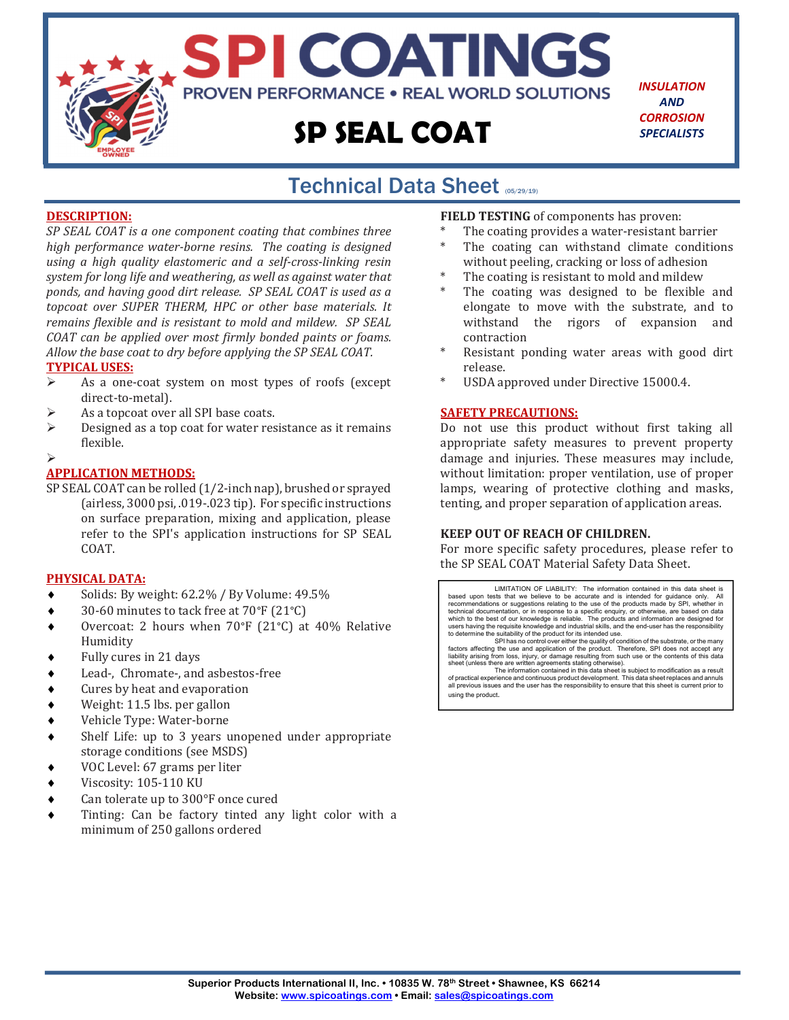

*INSULATION AND CORROSION SPECIALISTS*

#### Technical Data Sheet (05/29/19) j

#### **DESCRIPTION:**

*SP SEAL COAT is a one component coating that combines three high performance water‐borne resins. The coating is designed using a high quality elastomeric and a self‐cross‐linking resin system for long life and weathering, as well as against water that ponds, and having good dirt release. SP SEAL COAT is used as a topcoat over SUPER THERM, HPC or other base materials. It remains flexible and is resistant to mold and mildew. SP SEAL COAT can be applied over most firmly bonded paints or foams. Allow the base coat to dry before applying the SP SEAL COAT.*

#### **TYPICAL USES:**

- As a one-coat system on most types of roofs (except direct-to-metal).
- As a topcoat over all SPI base coats.
- $\triangleright$  Designed as a top coat for water resistance as it remains flexible.

#### $\blacktriangleright$

#### **APPLICATION METHODS:**

SP SEAL COAT can be rolled (1/2-inch nap), brushed or sprayed (airless, 3000 psi, .019-.023 tip). For specific instructions on surface preparation, mixing and application, please refer to the SPI's application instructions for SP SEAL COAT.

#### **PHYSICAL DATA:**

- Solids: By weight: 62.2% / By Volume: 49.5%
- 30-60 minutes to tack free at 70°F (21°C)
- Overcoat: 2 hours when 70°F (21°C) at 40% Relative Humidity
- Fully cures in 21 days
- Lead-, Chromate-, and asbestos-free
- Cures by heat and evaporation
- Weight: 11.5 lbs. per gallon
- Vehicle Type: Water-borne
- Shelf Life: up to 3 years unopened under appropriate storage conditions (see MSDS)
- VOC Level: 67 grams per liter
- Viscosity: 105-110 KU
- Can tolerate up to 300°F once cured
- Tinting: Can be factory tinted any light color with a minimum of 250 gallons ordered

**FIELD TESTING** of components has proven:

- The coating provides a water-resistant barrier
- The coating can withstand climate conditions without peeling, cracking or loss of adhesion
- The coating is resistant to mold and mildew
- The coating was designed to be flexible and elongate to move with the substrate, and to withstand the rigors of expansion and contraction
- Resistant ponding water areas with good dirt release.
- USDA approved under Directive 15000.4.

#### **SAFETY PRECAUTIONS:**

Do not use this product without first taking all appropriate safety measures to prevent property damage and injuries. These measures may include, without limitation: proper ventilation, use of proper lamps, wearing of protective clothing and masks, tenting, and proper separation of application areas.

#### **KEEP OUT OF REACH OF CHILDREN.**

For more specific safety procedures, please refer to the SP SEAL COAT Material Safety Data Sheet.

LIMITATION OF LIABILITY: The information contained in this data sheet is<br>based upon tests that we believe to be accurate and is intended for quidance only. All based upon tests that we believe to be accurate and is intended for guidance only. All<br>recommendations or suggestions relating to the use of the products made by SPI, whether in<br>technical documentation, or in response to a

SPI has no control over either the quality of condition of the substrate, or the many<br>factors affecting the use and application of the product. Therefore, SPI does not accept any<br>liability arising from loss, injury, or dam

all previous issues and the user has the responsibility to ensure that this sheet is current prior to using the product.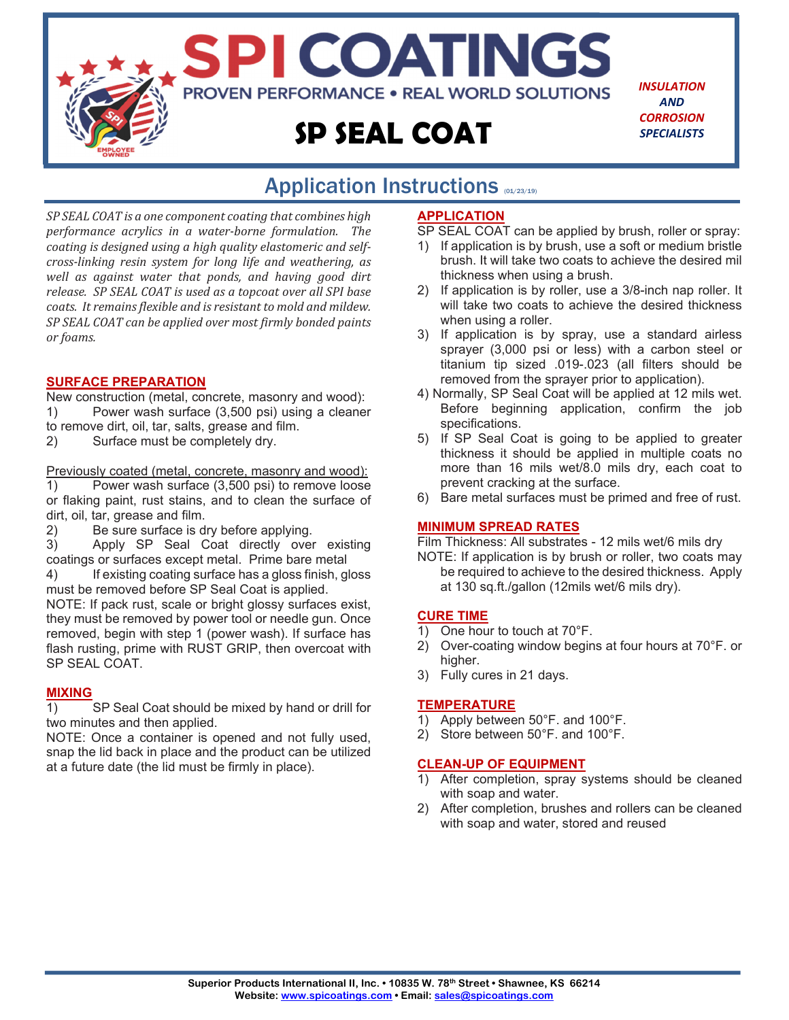

## Application Instructions (01/23/19)

*SP SEAL COAT is a one component coating that combines high performance acrylics in a water‐borne formulation. The coating is designed using a high quality elastomeric and self‐ cross‐linking resin system for long life and weathering, as well as against water that ponds, and having good dirt release. SP SEAL COAT is used as a topcoat over all SPI base coats. It remains flexible and is resistant to mold and mildew. SP SEAL COAT can be applied over most firmly bonded paints or foams.* 

#### **SURFACE PREPARATION**

New construction (metal, concrete, masonry and wood): 1) Power wash surface (3,500 psi) using a cleaner to remove dirt, oil, tar, salts, grease and film.

2) Surface must be completely dry.

Previously coated (metal, concrete, masonry and wood):

1) Power wash surface (3,500 psi) to remove loose or flaking paint, rust stains, and to clean the surface of dirt, oil, tar, grease and film.

2) Be sure surface is dry before applying.

3) Apply SP Seal Coat directly over existing coatings or surfaces except metal. Prime bare metal

4) If existing coating surface has a gloss finish, gloss must be removed before SP Seal Coat is applied.

NOTE: If pack rust, scale or bright glossy surfaces exist, they must be removed by power tool or needle gun. Once removed, begin with step 1 (power wash). If surface has flash rusting, prime with RUST GRIP, then overcoat with SP SEAL COAT.

#### **MIXING**

1) SP Seal Coat should be mixed by hand or drill for two minutes and then applied.

NOTE: Once a container is opened and not fully used, snap the lid back in place and the product can be utilized at a future date (the lid must be firmly in place).

#### **APPLICATION**

- SP SEAL COAT can be applied by brush, roller or spray:
- 1) If application is by brush, use a soft or medium bristle brush. It will take two coats to achieve the desired mil thickness when using a brush.
- 2) If application is by roller, use a 3/8-inch nap roller. It will take two coats to achieve the desired thickness when using a roller.
- 3) If application is by spray, use a standard airless sprayer (3,000 psi or less) with a carbon steel or titanium tip sized .019-.023 (all filters should be removed from the sprayer prior to application).
- 4) Normally, SP Seal Coat will be applied at 12 mils wet. Before beginning application, confirm the job specifications.
- 5) If SP Seal Coat is going to be applied to greater thickness it should be applied in multiple coats no more than 16 mils wet/8.0 mils dry, each coat to prevent cracking at the surface.
- 6) Bare metal surfaces must be primed and free of rust.

#### **MINIMUM SPREAD RATES**

Film Thickness: All substrates - 12 mils wet/6 mils dry

NOTE: If application is by brush or roller, two coats may be required to achieve to the desired thickness. Apply at 130 sq.ft./gallon (12mils wet/6 mils dry).

#### **CURE TIME**

- 1) One hour to touch at 70°F.
- 2) Over-coating window begins at four hours at 70°F. or higher.
- 3) Fully cures in 21 days.

#### **TEMPERATURE**

- 1) Apply between 50°F. and 100°F.
- 2) Store between 50°F. and 100°F.

#### **CLEAN-UP OF EQUIPMENT**

- 1) After completion, spray systems should be cleaned with soap and water.
- 2) After completion, brushes and rollers can be cleaned with soap and water, stored and reused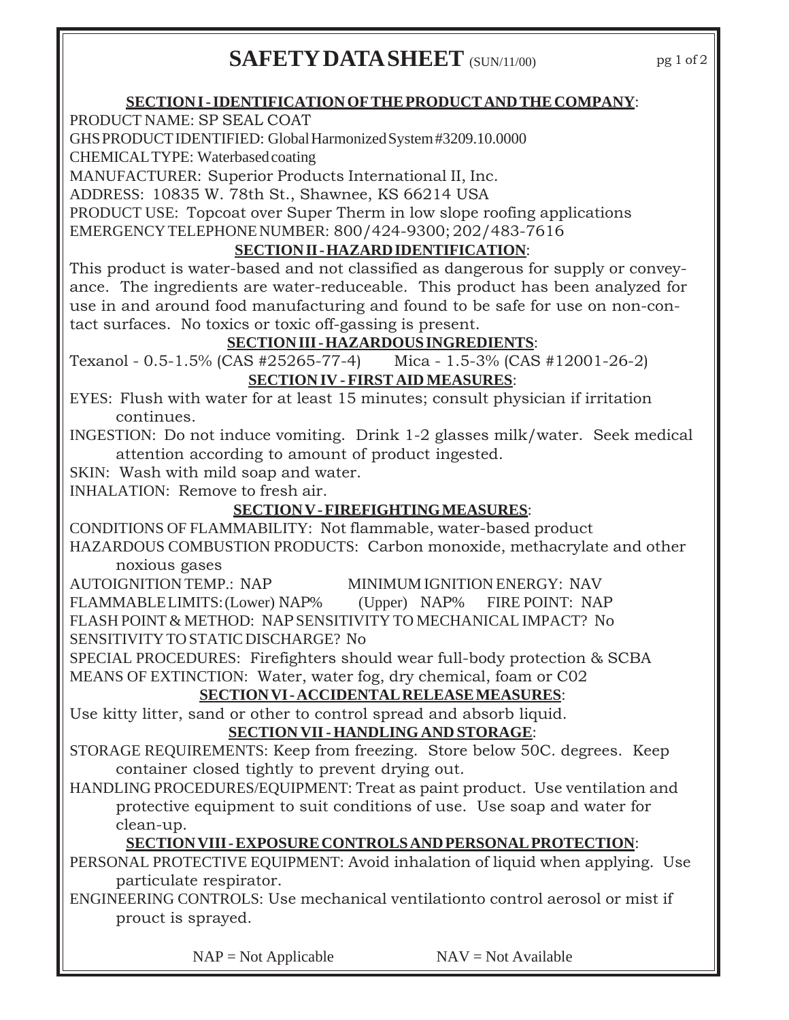# **SAFETY DATA SHEET** (SUN/11/00)

### **SECTION I - IDENTIFICATION OF THE PRODUCT AND THE COMPANY**:

PRODUCT NAME: SP SEAL COAT

### GHS PRODUCT IDENTIFIED: Global Harmonized System #3209.10.0000

CHEMICAL TYPE: Waterbased coating

MANUFACTURER: Superior Products International II, Inc.

ADDRESS: 10835 W. 78th St., Shawnee, KS 66214 USA

PRODUCT USE: Topcoat over Super Therm in low slope roofing applications EMERGENCY TELEPHONE NUMBER:800/424-9300; 202/483-7616

### **SECTION II - HAZARD IDENTIFICATION**:

This product is water-based and not classified as dangerous for supply or conveyance. The ingredients are water-reduceable. This product has been analyzed for use in and around food manufacturing and found to be safe for use on non-contact surfaces. No toxics or toxic off-gassing is present.

### **SECTION III - HAZARDOUS INGREDIENTS**:

Texanol - 0.5-1.5% (CAS #25265-77-4) Mica - 1.5-3% (CAS #12001-26-2)

### **SECTION IV - FIRST AID MEASURES**:

EYES: Flush with water for at least 15 minutes; consult physician if irritation continues.

INGESTION: Do not induce vomiting. Drink 1-2 glasses milk/water. Seek medical attention according to amount of product ingested.

SKIN: Wash with mild soap and water.

INHALATION: Remove to fresh air.

### **SECTION V - FIREFIGHTING MEASURES**:

CONDITIONS OF FLAMMABILITY: Not flammable, water-based product HAZARDOUS COMBUSTION PRODUCTS: Carbon monoxide, methacrylate and other

noxious gases

AUTOIGNITION TEMP.: NAP MINIMUM IGNITION ENERGY: NAV

FLAMMABLE LIMITS: (Lower) NAP% (Upper) NAP% FIRE POINT: NAP FLASH POINT & METHOD: NAP SENSITIVITY TO MECHANICAL IMPACT? No

SENSITIVITY TO STATIC DISCHARGE? No

SPECIAL PROCEDURES: Firefighters should wear full-body protection & SCBA MEANS OF EXTINCTION: Water, water fog, dry chemical, foam or C02

### **SECTION VI - ACCIDENTAL RELEASE MEASURES**:

Use kitty litter, sand or other to control spread and absorb liquid.

### **SECTION VII - HANDLING AND STORAGE**:

STORAGE REQUIREMENTS: Keep from freezing. Store below 50C. degrees. Keep container closed tightly to prevent drying out.

HANDLING PROCEDURES/EQUIPMENT: Treat as paint product. Use ventilation and protective equipment to suit conditions of use. Use soap and water for clean-up.

### **SECTION VIII - EXPOSURE CONTROLS AND PERSONAL PROTECTION**:

PERSONAL PROTECTIVE EQUIPMENT: Avoid inhalation of liquid when applying. Use particulate respirator.

ENGINEERING CONTROLS: Use mechanical ventilationto control aerosol or mist if prouct is sprayed.

 $NAP = Not Applicable$   $NAV = Not Available$ 

pg 1 of 2